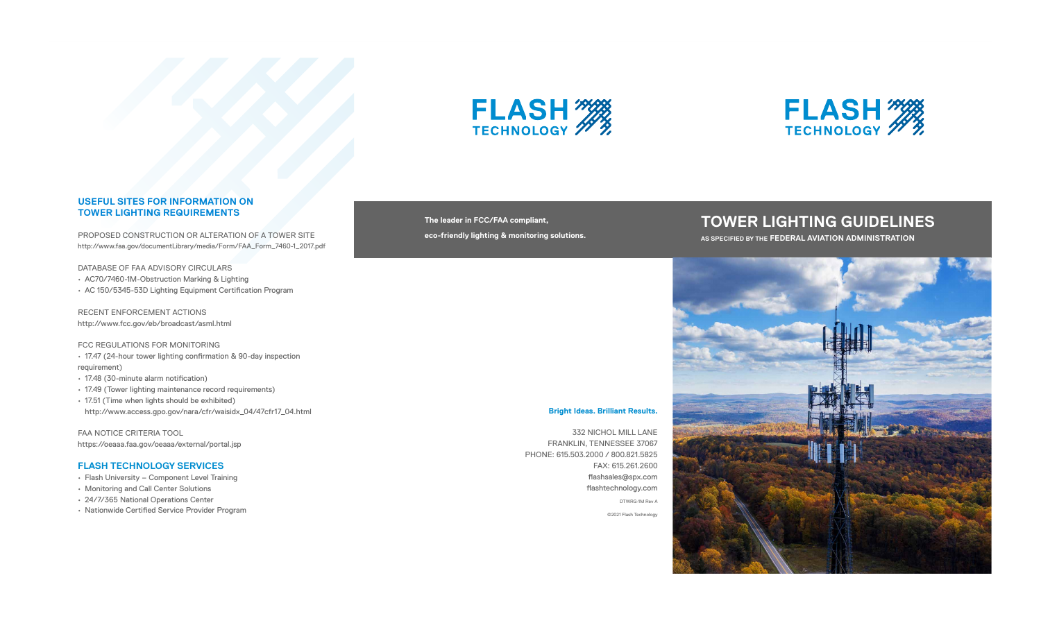## **Bright Ideas. Brilliant Results.**

332 NICHOL MILL LANE FRANKLIN, TENNESSEE 37067 PHONE: 615.503.2000 / 800.821.5825 FAX: 615.261.2600 flashsales@spx.com flashtechnology.com

DTWRG-1M Rev A

©2021 Flash Technology





# **USEFUL SITES FOR INFORMATION ON TOWER LIGHTING REQUIREMENTS**

PROPOSED CONSTRUCTION OR ALTERATION OF A TOWER SITE http://www.faa.gov/documentLibrary/media/Form/FAA\_Form\_7460-1\_2017.pdf

DATABASE OF FAA ADVISORY CIRCULARS

- AC70/7460-1M-Obstruction Marking & Lighting
- AC 150/5345-53D Lighting Equipment Certification Program

RECENT ENFORCEMENT ACTIONS http://www.fcc.gov/eb/broadcast/asml.html

### FCC REGULATIONS FOR MONITORING

• 17.47 (24-hour tower lighting confirmation & 90-day inspection requirement)

- 17.48 (30-minute alarm notification)
- 17.49 (Tower lighting maintenance record requirements)
- 17.51 (Time when lights should be exhibited) http://www.access.gpo.gov/nara/cfr/waisidx\_04/47cfr17\_04.html

FAA NOTICE CRITERIA TOOL https://oeaaa.faa.gov/oeaaa/external/portal.jsp

## **FLASH TECHNOLOGY SERVICES**

- Flash University Component Level Training
- Monitoring and Call Center Solutions
- 24/7/365 National Operations Center
- Nationwide Certified Service Provider Program

**The leader in FCC/FAA compliant, eco-friendly lighting & monitoring solutions.**

# **TOWER LIGHTING GUIDELINES**

**AS SPECIFIED BY THE FEDERAL AVIATION ADMINISTRATION**